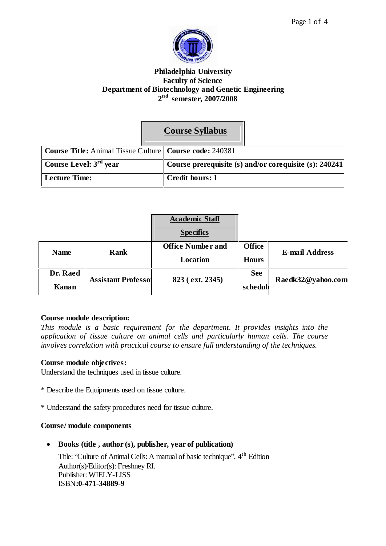



## **Philadelphia University Faculty of Science Department of Biotechnology and Genetic Engineering 2 nd semester, 2007/2008**

|                                                                         | <b>Course Syllabus</b>                                 |
|-------------------------------------------------------------------------|--------------------------------------------------------|
| <b>Course Title:</b> Animal Tissue Culture   <b>Course code:</b> 240381 |                                                        |
| Course Level: $3rd$ year                                                | Course prerequisite (s) and/or corequisite (s): 240241 |
| <b>Lecture Time:</b>                                                    | Credit hours: 1                                        |

|             |                            | <b>Academic Staff</b><br><b>Specifics</b> |               |                       |
|-------------|----------------------------|-------------------------------------------|---------------|-----------------------|
| <b>Name</b> | Rank                       | <b>Office Number and</b>                  | <b>Office</b> | <b>E-mail Address</b> |
|             |                            | Location                                  | <b>Hours</b>  |                       |
| Dr. Raed    | <b>Assistant Professol</b> | 823 (ext. 2345)                           | <b>See</b>    | Raedk32@yahoo.com     |
| Kanan       |                            |                                           | schedul       |                       |

### **Course module description:**

*This module is a basic requirement for the department. It provides insights into the application of tissue culture on animal cells and particularly human cells. The course involves correlation with practical course to ensure full understanding of the techniques.*

### **Course module objectives:**

Understand the techniques used in tissue culture.

- \* Describe the Equipments used on tissue culture.
- \* Understand the safety procedures need for tissue culture.

### **Course/ module components**

**Books (title , author (s), publisher, year of publication)**

Title: "Culture of Animal Cells: A manual of basic technique", 4<sup>th</sup> Edition Author(s)/Editor(s): Freshney RI. Publisher: WIELY-LISS ISBN**:0-471-34889-9**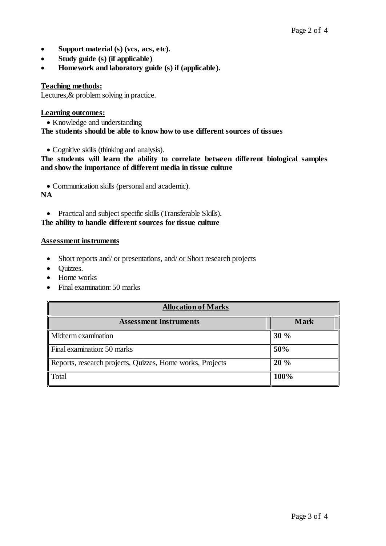- **Support material (s) (vcs, acs, etc).**
- **Study guide (s) (if applicable)**
- **Homework and laboratory guide (s) if (applicable).**

### **Teaching methods:**

Lectures, & problem solving in practice.

### **Learning outcomes:**

• Knowledge and understanding **The students should be able to know how to use different sources of tissues**

Cognitive skills (thinking and analysis).

**The students will learn the ability to correlate between different biological samples and show the importance of different media in tissue culture**

Communication skills (personal and academic).

**NA**

• Practical and subject specific skills (Transferable Skills).

## **The ability to handle different sources for tissue culture**

#### **Assessment instruments**

- Short reports and/ or presentations, and/ or Short research projects
- Quizzes.
- Home works
- Final examination: 50 marks

| <b>Allocation of Marks</b>                                |             |  |
|-----------------------------------------------------------|-------------|--|
| <b>Assessment Instruments</b>                             | <b>Mark</b> |  |
| Midterm examination                                       | 30%         |  |
| Final examination: 50 marks                               | 50%         |  |
| Reports, research projects, Quizzes, Home works, Projects | 20%         |  |
| Total                                                     | 100%        |  |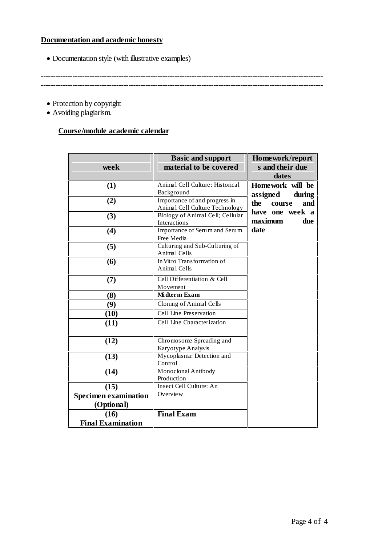## **Documentation and academic honesty**

Documentation style (with illustrative examples)

**-------------------------------------------------------------------------------------------------------------------- --------------------------------------------------------------------------------------------------------------------**

- Protection by copyright
- Avoiding plagiarism.

# **Course/module academic calendar**

|                             | <b>Basic and support</b>                         | Homework/report      |
|-----------------------------|--------------------------------------------------|----------------------|
| week                        | material to be covered                           | s and their due      |
|                             |                                                  | dates                |
| (1)                         | Animal Cell Culture: Historical                  | Homework will be     |
|                             | <b>Background</b>                                | during<br>assigned   |
| (2)                         | Importance of and progress in                    | the<br>and<br>course |
|                             | Animal Cell Culture Technology                   | have one week a      |
| (3)                         | Biology of Animal Cell; Cellular<br>Interactions | maximum<br>due       |
| (4)                         | Importance of Serum and Serum                    | date                 |
|                             | Free Media                                       |                      |
| (5)                         | Culturing and Sub-Culturing of                   |                      |
|                             | Animal Cells                                     |                      |
| (6)                         | In Vitro Transformation of                       |                      |
|                             | Animal Cells                                     |                      |
| (7)                         | Cell Differentiation & Cell                      |                      |
|                             | Movement                                         |                      |
| (8)                         | Midterm Exam                                     |                      |
| (9)                         | Cloning of Animal Cells                          |                      |
| (10)                        | Cell Line Preservation                           |                      |
| (11)                        | Cell Line Characterization                       |                      |
|                             |                                                  |                      |
| (12)                        | Chromosome Spreading and                         |                      |
|                             | Karyotype Analysis                               |                      |
| (13)                        | Mycoplasma: Detection and                        |                      |
|                             | Control                                          |                      |
| (14)                        | Monoclonal Antibody                              |                      |
|                             | Production                                       |                      |
| (15)                        | Insect Cell Culture: An<br>Overview              |                      |
| <b>Specimen examination</b> |                                                  |                      |
| (Optional)                  |                                                  |                      |
| (16)                        | <b>Final Exam</b>                                |                      |
| <b>Final Examination</b>    |                                                  |                      |